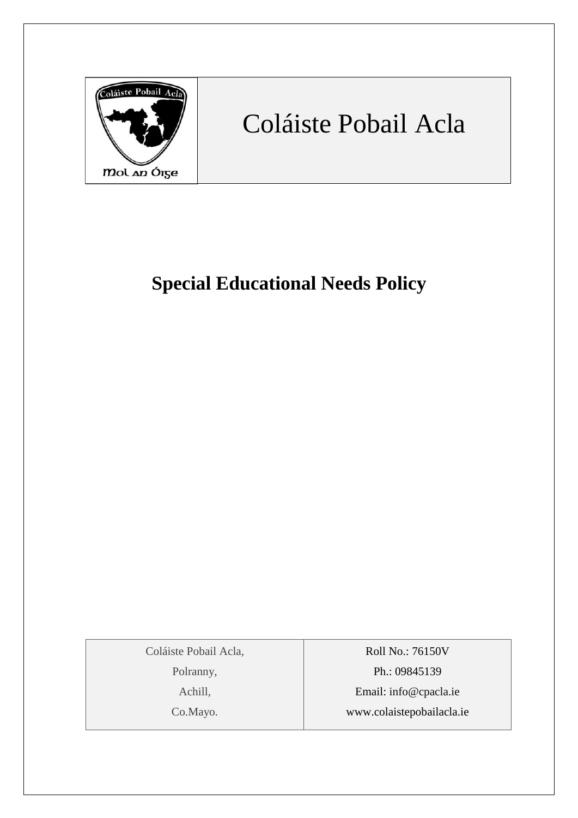

# Coláiste Pobail Acla

## **Special Educational Needs Policy**

Coláiste Pobail Acla,

Polranny,

Achill,

Co.Mayo.

Roll No.: 76150V Ph.: 09845139 Email: [info@cpacla.ie](mailto:info@cpacla.ie) www.colaistepobailacla.ie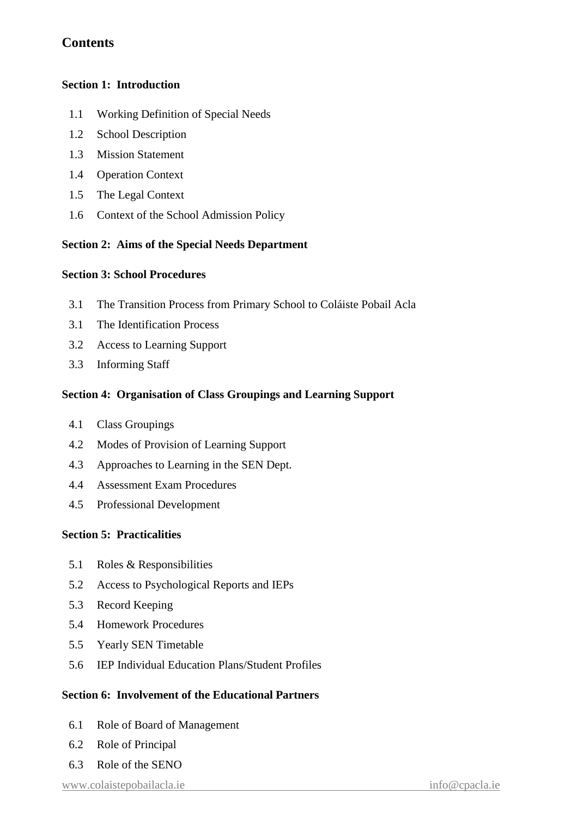## **Contents**

#### **Section 1: Introduction**

- 1.1 Working Definition of Special Needs
- 1.2 School Description
- 1.3 Mission Statement
- 1.4 Operation Context
- 1.5 The Legal Context
- 1.6 Context of the School Admission Policy

#### **Section 2: Aims of the Special Needs Department**

#### **Section 3: School Procedures**

- 3.1 The Transition Process from Primary School to Coláiste Pobail Acla
- 3.1 The Identification Process
- 3.2 Access to Learning Support
- 3.3 Informing Staff

#### **Section 4: Organisation of Class Groupings and Learning Support**

- 4.1 Class Groupings
- 4.2 Modes of Provision of Learning Support
- 4.3 Approaches to Learning in the SEN Dept.
- 4.4 Assessment Exam Procedures
- 4.5 Professional Development

#### **Section 5: Practicalities**

- 5.1 Roles & Responsibilities
- 5.2 Access to Psychological Reports and IEPs
- 5.3 Record Keeping
- 5.4 Homework Procedures
- 5.5 Yearly SEN Timetable
- 5.6 IEP Individual Education Plans/Student Profiles

#### **Section 6: Involvement of the Educational Partners**

- 6.1 Role of Board of Management
- 6.2 Role of Principal
- 6.3 Role of the SENO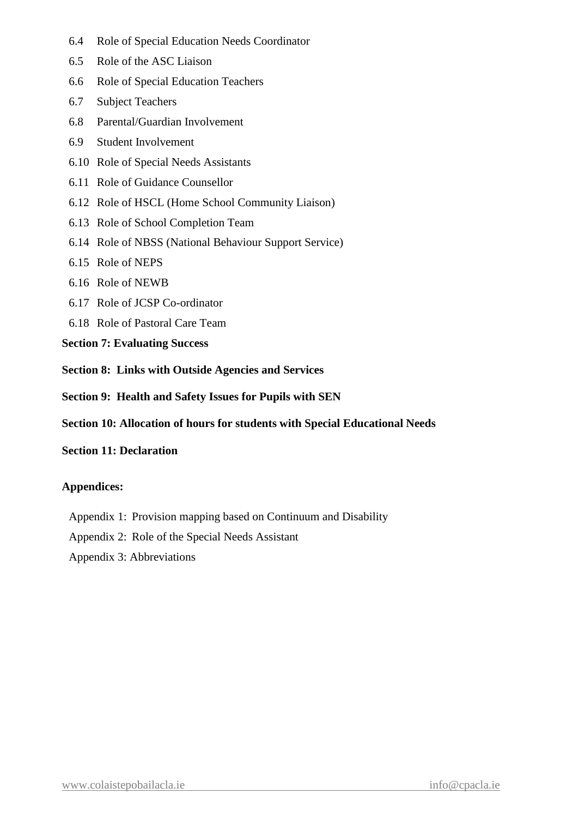- 6.4 Role of Special Education Needs Coordinator
- 6.5 Role of the ASC Liaison
- 6.6 Role of Special Education Teachers
- 6.7 Subject Teachers
- 6.8 Parental/Guardian Involvement
- 6.9 Student Involvement
- 6.10 Role of Special Needs Assistants
- 6.11 Role of Guidance Counsellor
- 6.12 Role of HSCL (Home School Community Liaison)
- 6.13 Role of School Completion Team
- 6.14 Role of NBSS (National Behaviour Support Service)
- 6.15 Role of NEPS
- 6.16 Role of NEWB
- 6.17 Role of JCSP Co-ordinator
- 6.18 Role of Pastoral Care Team
- **Section 7: Evaluating Success**
- **Section 8: Links with Outside Agencies and Services**
- **Section 9: Health and Safety Issues for Pupils with SEN**
- **Section 10: Allocation of hours for students with Special Educational Needs**

#### **Section 11: Declaration**

#### **Appendices:**

- Appendix 1: Provision mapping based on Continuum and Disability
- Appendix 2: Role of the Special Needs Assistant
- Appendix 3: Abbreviations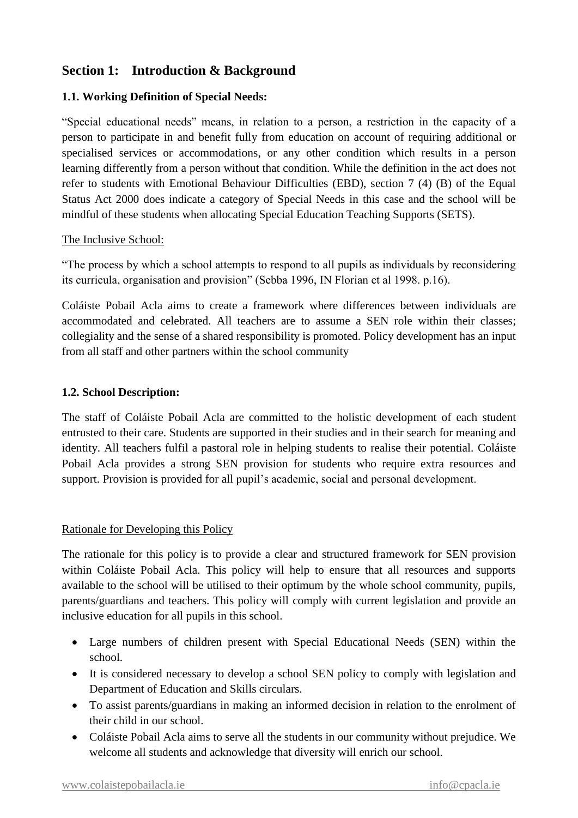## **Section 1: Introduction & Background**

#### **1.1. Working Definition of Special Needs:**

"Special educational needs" means, in relation to a person, a restriction in the capacity of a person to participate in and benefit fully from education on account of requiring additional or specialised services or accommodations, or any other condition which results in a person learning differently from a person without that condition. While the definition in the act does not refer to students with Emotional Behaviour Difficulties (EBD), section 7 (4) (B) of the Equal Status Act 2000 does indicate a category of Special Needs in this case and the school will be mindful of these students when allocating Special Education Teaching Supports (SETS).

#### The Inclusive School:

"The process by which a school attempts to respond to all pupils as individuals by reconsidering its curricula, organisation and provision" (Sebba 1996, IN Florian et al 1998. p.16).

Coláiste Pobail Acla aims to create a framework where differences between individuals are accommodated and celebrated. All teachers are to assume a SEN role within their classes; collegiality and the sense of a shared responsibility is promoted. Policy development has an input from all staff and other partners within the school community

#### **1.2. School Description:**

The staff of Coláiste Pobail Acla are committed to the holistic development of each student entrusted to their care. Students are supported in their studies and in their search for meaning and identity. All teachers fulfil a pastoral role in helping students to realise their potential. Coláiste Pobail Acla provides a strong SEN provision for students who require extra resources and support. Provision is provided for all pupil's academic, social and personal development.

#### Rationale for Developing this Policy

The rationale for this policy is to provide a clear and structured framework for SEN provision within Coláiste Pobail Acla. This policy will help to ensure that all resources and supports available to the school will be utilised to their optimum by the whole school community, pupils, parents/guardians and teachers. This policy will comply with current legislation and provide an inclusive education for all pupils in this school.

- Large numbers of children present with Special Educational Needs (SEN) within the school.
- It is considered necessary to develop a school SEN policy to comply with legislation and Department of Education and Skills circulars.
- To assist parents/guardians in making an informed decision in relation to the enrolment of their child in our school.
- Coláiste Pobail Acla aims to serve all the students in our community without prejudice. We welcome all students and acknowledge that diversity will enrich our school.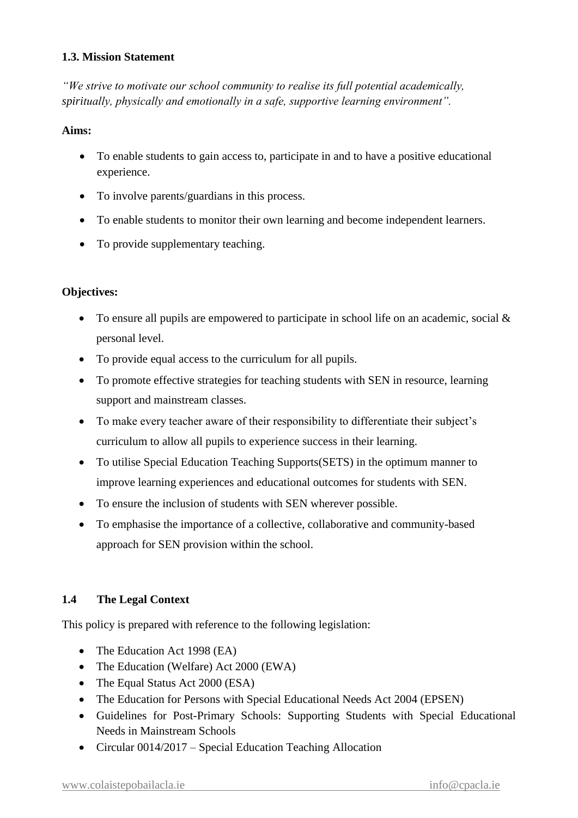#### **1.3. Mission Statement**

*"We strive to motivate our school community to realise its full potential academically, spiritually, physically and emotionally in a safe, supportive learning environment".*

#### **Aims:**

- To enable students to gain access to, participate in and to have a positive educational experience.
- To involve parents/guardians in this process.
- To enable students to monitor their own learning and become independent learners.
- To provide supplementary teaching.

#### **Objectives:**

- To ensure all pupils are empowered to participate in school life on an academic, social & personal level.
- To provide equal access to the curriculum for all pupils.
- To promote effective strategies for teaching students with SEN in resource, learning support and mainstream classes.
- To make every teacher aware of their responsibility to differentiate their subject's curriculum to allow all pupils to experience success in their learning.
- To utilise Special Education Teaching Supports(SETS) in the optimum manner to improve learning experiences and educational outcomes for students with SEN.
- To ensure the inclusion of students with SEN wherever possible.
- To emphasise the importance of a collective, collaborative and community-based approach for SEN provision within the school.

#### **1.4 The Legal Context**

This policy is prepared with reference to the following legislation:

- The Education Act 1998 (EA)
- The Education (Welfare) Act 2000 (EWA)
- The Equal Status Act 2000 (ESA)
- The Education for Persons with Special Educational Needs Act 2004 (EPSEN)
- Guidelines for Post-Primary Schools: Supporting Students with Special Educational Needs in Mainstream Schools
- Circular 0014/2017 Special Education Teaching Allocation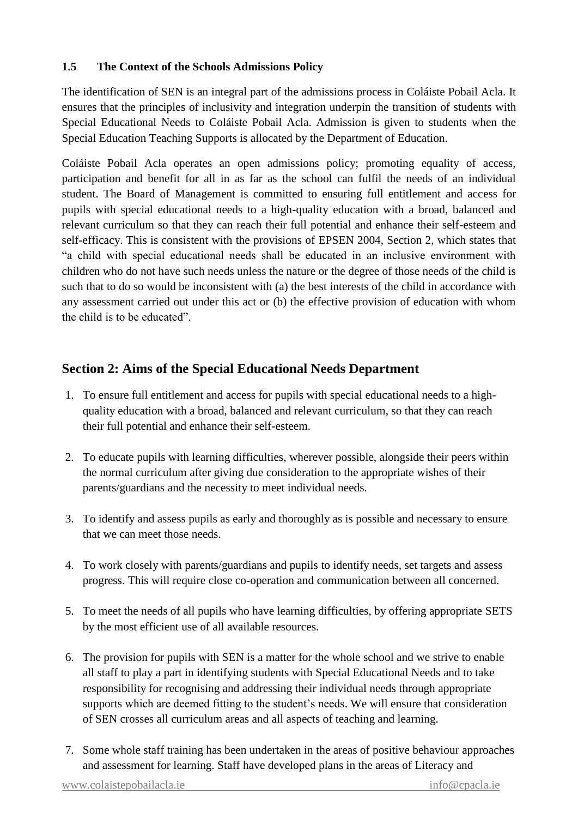#### **1.5 The Context of the Schools Admissions Policy**

The identification of SEN is an integral part of the admissions process in Coláiste Pobail Acla. It ensures that the principles of inclusivity and integration underpin the transition of students with Special Educational Needs to Coláiste Pobail Acla. Admission is given to students when the Special Education Teaching Supports is allocated by the Department of Education.

Coláiste Pobail Acla operates an open admissions policy; promoting equality of access, participation and benefit for all in as far as the school can fulfil the needs of an individual student. The Board of Management is committed to ensuring full entitlement and access for pupils with special educational needs to a high-quality education with a broad, balanced and relevant curriculum so that they can reach their full potential and enhance their self-esteem and self-efficacy. This is consistent with the provisions of EPSEN 2004, Section 2, which states that "a child with special educational needs shall be educated in an inclusive environment with children who do not have such needs unless the nature or the degree of those needs of the child is such that to do so would be inconsistent with (a) the best interests of the child in accordance with any assessment carried out under this act or (b) the effective provision of education with whom the child is to be educated".

## **Section 2: Aims of the Special Educational Needs Department**

- 1. To ensure full entitlement and access for pupils with special educational needs to a highquality education with a broad, balanced and relevant curriculum, so that they can reach their full potential and enhance their self-esteem.
- 2. To educate pupils with learning difficulties, wherever possible, alongside their peers within the normal curriculum after giving due consideration to the appropriate wishes of their parents/guardians and the necessity to meet individual needs.
- 3. To identify and assess pupils as early and thoroughly as is possible and necessary to ensure that we can meet those needs.
- 4. To work closely with parents/guardians and pupils to identify needs, set targets and assess progress. This will require close co-operation and communication between all concerned.
- 5. To meet the needs of all pupils who have learning difficulties, by offering appropriate SETS by the most efficient use of all available resources.
- 6. The provision for pupils with SEN is a matter for the whole school and we strive to enable all staff to play a part in identifying students with Special Educational Needs and to take responsibility for recognising and addressing their individual needs through appropriate supports which are deemed fitting to the student's needs. We will ensure that consideration of SEN crosses all curriculum areas and all aspects of teaching and learning.
- 7. Some whole staff training has been undertaken in the areas of positive behaviour approaches and assessment for learning. Staff have developed plans in the areas of Literacy and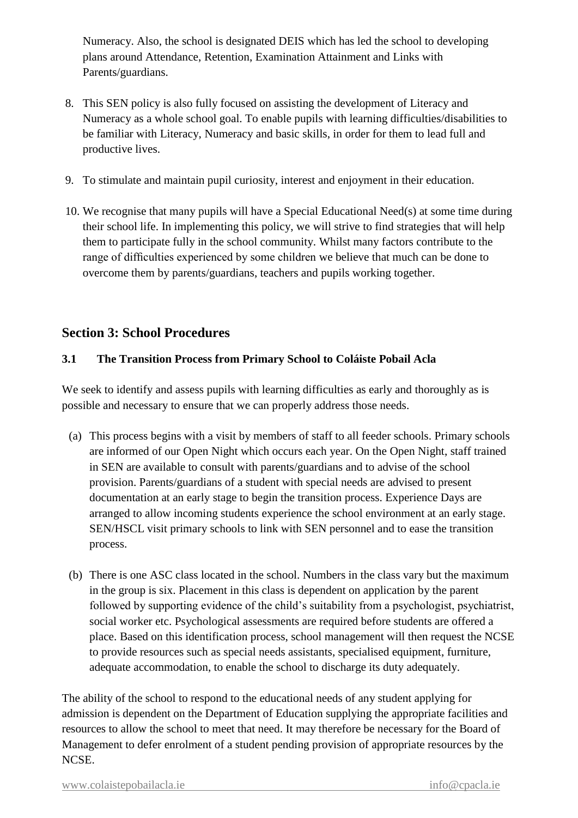Numeracy. Also, the school is designated DEIS which has led the school to developing plans around Attendance, Retention, Examination Attainment and Links with Parents/guardians.

- 8. This SEN policy is also fully focused on assisting the development of Literacy and Numeracy as a whole school goal. To enable pupils with learning difficulties/disabilities to be familiar with Literacy, Numeracy and basic skills, in order for them to lead full and productive lives.
- 9. To stimulate and maintain pupil curiosity, interest and enjoyment in their education.
- 10. We recognise that many pupils will have a Special Educational Need(s) at some time during their school life. In implementing this policy, we will strive to find strategies that will help them to participate fully in the school community. Whilst many factors contribute to the range of difficulties experienced by some children we believe that much can be done to overcome them by parents/guardians, teachers and pupils working together.

## **Section 3: School Procedures**

#### **3.1 The Transition Process from Primary School to Coláiste Pobail Acla**

We seek to identify and assess pupils with learning difficulties as early and thoroughly as is possible and necessary to ensure that we can properly address those needs.

- (a) This process begins with a visit by members of staff to all feeder schools. Primary schools are informed of our Open Night which occurs each year. On the Open Night, staff trained in SEN are available to consult with parents/guardians and to advise of the school provision. Parents/guardians of a student with special needs are advised to present documentation at an early stage to begin the transition process. Experience Days are arranged to allow incoming students experience the school environment at an early stage. SEN/HSCL visit primary schools to link with SEN personnel and to ease the transition process.
- (b) There is one ASC class located in the school. Numbers in the class vary but the maximum in the group is six. Placement in this class is dependent on application by the parent followed by supporting evidence of the child's suitability from a psychologist, psychiatrist, social worker etc. Psychological assessments are required before students are offered a place. Based on this identification process, school management will then request the NCSE to provide resources such as special needs assistants, specialised equipment, furniture, adequate accommodation, to enable the school to discharge its duty adequately.

The ability of the school to respond to the educational needs of any student applying for admission is dependent on the Department of Education supplying the appropriate facilities and resources to allow the school to meet that need. It may therefore be necessary for the Board of Management to defer enrolment of a student pending provision of appropriate resources by the NCSE.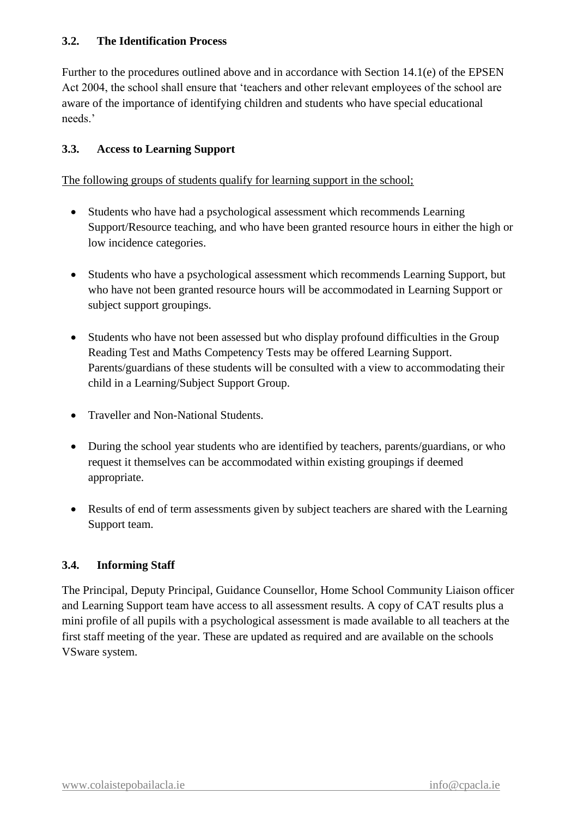#### **3.2. The Identification Process**

Further to the procedures outlined above and in accordance with Section 14.1(e) of the EPSEN Act 2004, the school shall ensure that 'teachers and other relevant employees of the school are aware of the importance of identifying children and students who have special educational needs.'

#### **3.3. Access to Learning Support**

The following groups of students qualify for learning support in the school;

- Students who have had a psychological assessment which recommends Learning Support/Resource teaching, and who have been granted resource hours in either the high or low incidence categories.
- Students who have a psychological assessment which recommends Learning Support, but who have not been granted resource hours will be accommodated in Learning Support or subject support groupings.
- Students who have not been assessed but who display profound difficulties in the Group Reading Test and Maths Competency Tests may be offered Learning Support. Parents/guardians of these students will be consulted with a view to accommodating their child in a Learning/Subject Support Group.
- Traveller and Non-National Students.
- During the school year students who are identified by teachers, parents/guardians, or who request it themselves can be accommodated within existing groupings if deemed appropriate.
- Results of end of term assessments given by subject teachers are shared with the Learning Support team.

#### **3.4. Informing Staff**

The Principal, Deputy Principal, Guidance Counsellor, Home School Community Liaison officer and Learning Support team have access to all assessment results. A copy of CAT results plus a mini profile of all pupils with a psychological assessment is made available to all teachers at the first staff meeting of the year. These are updated as required and are available on the schools VSware system.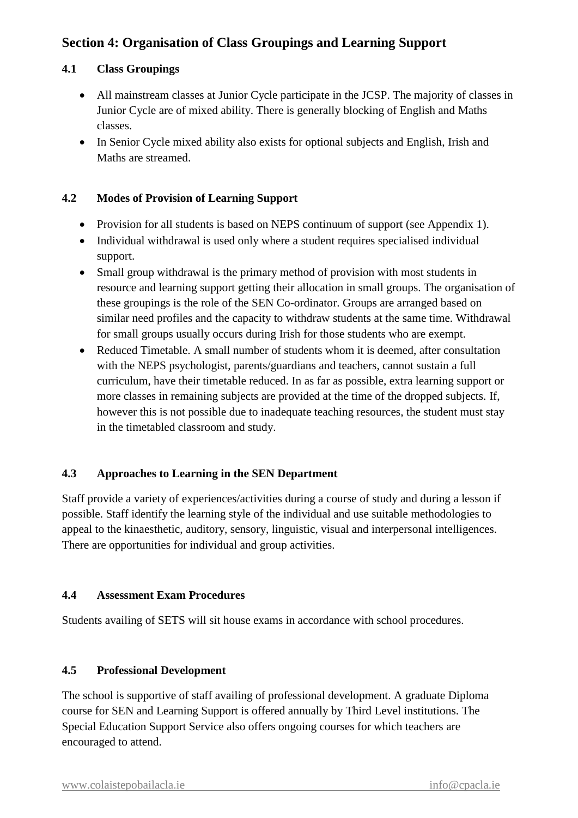## **Section 4: Organisation of Class Groupings and Learning Support**

#### **4.1 Class Groupings**

- All mainstream classes at Junior Cycle participate in the JCSP. The majority of classes in Junior Cycle are of mixed ability. There is generally blocking of English and Maths classes.
- In Senior Cycle mixed ability also exists for optional subjects and English, Irish and Maths are streamed.

#### **4.2 Modes of Provision of Learning Support**

- Provision for all students is based on NEPS continuum of support (see Appendix 1).
- Individual withdrawal is used only where a student requires specialised individual support.
- Small group withdrawal is the primary method of provision with most students in resource and learning support getting their allocation in small groups. The organisation of these groupings is the role of the SEN Co-ordinator. Groups are arranged based on similar need profiles and the capacity to withdraw students at the same time. Withdrawal for small groups usually occurs during Irish for those students who are exempt.
- Reduced Timetable. A small number of students whom it is deemed, after consultation with the NEPS psychologist, parents/guardians and teachers, cannot sustain a full curriculum, have their timetable reduced. In as far as possible, extra learning support or more classes in remaining subjects are provided at the time of the dropped subjects. If, however this is not possible due to inadequate teaching resources, the student must stay in the timetabled classroom and study.

#### **4.3 Approaches to Learning in the SEN Department**

Staff provide a variety of experiences/activities during a course of study and during a lesson if possible. Staff identify the learning style of the individual and use suitable methodologies to appeal to the kinaesthetic, auditory, sensory, linguistic, visual and interpersonal intelligences. There are opportunities for individual and group activities.

#### **4.4 Assessment Exam Procedures**

Students availing of SETS will sit house exams in accordance with school procedures.

#### **4.5 Professional Development**

The school is supportive of staff availing of professional development. A graduate Diploma course for SEN and Learning Support is offered annually by Third Level institutions. The Special Education Support Service also offers ongoing courses for which teachers are encouraged to attend.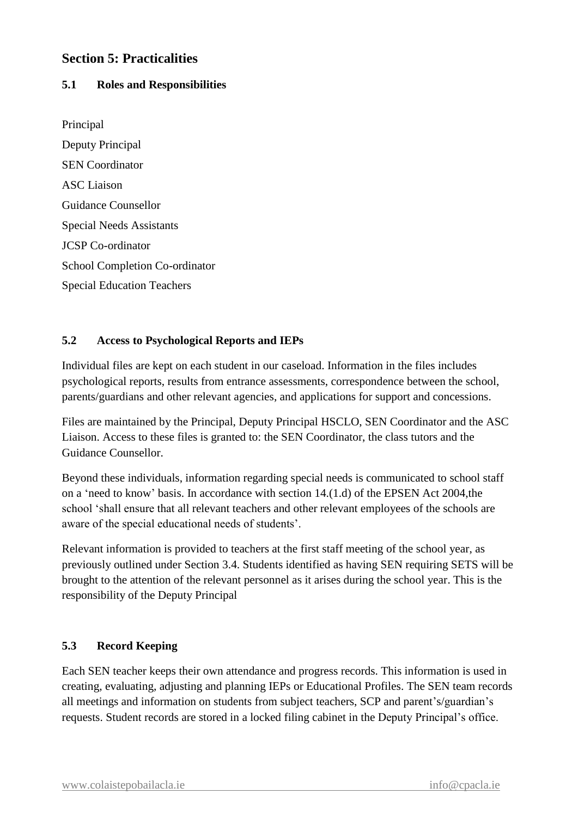## **Section 5: Practicalities**

#### **5.1 Roles and Responsibilities**

Principal Deputy Principal SEN Coordinator ASC Liaison Guidance Counsellor Special Needs Assistants JCSP Co-ordinator School Completion Co-ordinator Special Education Teachers

#### **5.2 Access to Psychological Reports and IEPs**

Individual files are kept on each student in our caseload. Information in the files includes psychological reports, results from entrance assessments, correspondence between the school, parents/guardians and other relevant agencies, and applications for support and concessions.

Files are maintained by the Principal, Deputy Principal HSCLO, SEN Coordinator and the ASC Liaison. Access to these files is granted to: the SEN Coordinator, the class tutors and the Guidance Counsellor.

Beyond these individuals, information regarding special needs is communicated to school staff on a 'need to know' basis. In accordance with section 14.(1.d) of the EPSEN Act 2004,the school 'shall ensure that all relevant teachers and other relevant employees of the schools are aware of the special educational needs of students'.

Relevant information is provided to teachers at the first staff meeting of the school year, as previously outlined under Section 3.4. Students identified as having SEN requiring SETS will be brought to the attention of the relevant personnel as it arises during the school year. This is the responsibility of the Deputy Principal

#### **5.3 Record Keeping**

Each SEN teacher keeps their own attendance and progress records. This information is used in creating, evaluating, adjusting and planning IEPs or Educational Profiles. The SEN team records all meetings and information on students from subject teachers, SCP and parent's/guardian's requests. Student records are stored in a locked filing cabinet in the Deputy Principal's office.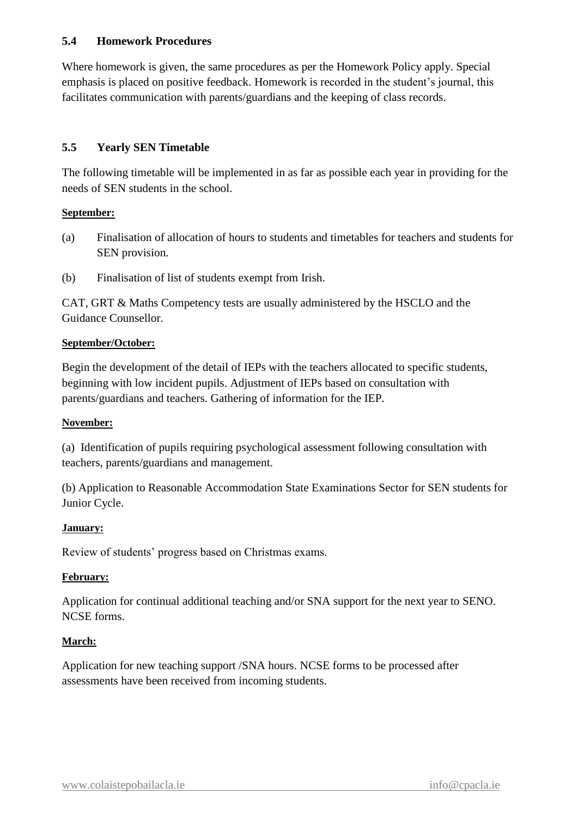#### **5.4 Homework Procedures**

Where homework is given, the same procedures as per the Homework Policy apply. Special emphasis is placed on positive feedback. Homework is recorded in the student's journal, this facilitates communication with parents/guardians and the keeping of class records.

#### **5.5 Yearly SEN Timetable**

The following timetable will be implemented in as far as possible each year in providing for the needs of SEN students in the school.

#### **September:**

- (a) Finalisation of allocation of hours to students and timetables for teachers and students for SEN provision.
- (b) Finalisation of list of students exempt from Irish.

CAT, GRT & Maths Competency tests are usually administered by the HSCLO and the Guidance Counsellor.

#### **September/October:**

Begin the development of the detail of IEPs with the teachers allocated to specific students, beginning with low incident pupils. Adjustment of IEPs based on consultation with parents/guardians and teachers. Gathering of information for the IEP.

#### **November:**

(a) Identification of pupils requiring psychological assessment following consultation with teachers, parents/guardians and management.

(b) Application to Reasonable Accommodation State Examinations Sector for SEN students for Junior Cycle.

#### **January:**

Review of students' progress based on Christmas exams.

#### **February:**

Application for continual additional teaching and/or SNA support for the next year to SENO. NCSE forms.

#### **March:**

Application for new teaching support /SNA hours. NCSE forms to be processed after assessments have been received from incoming students.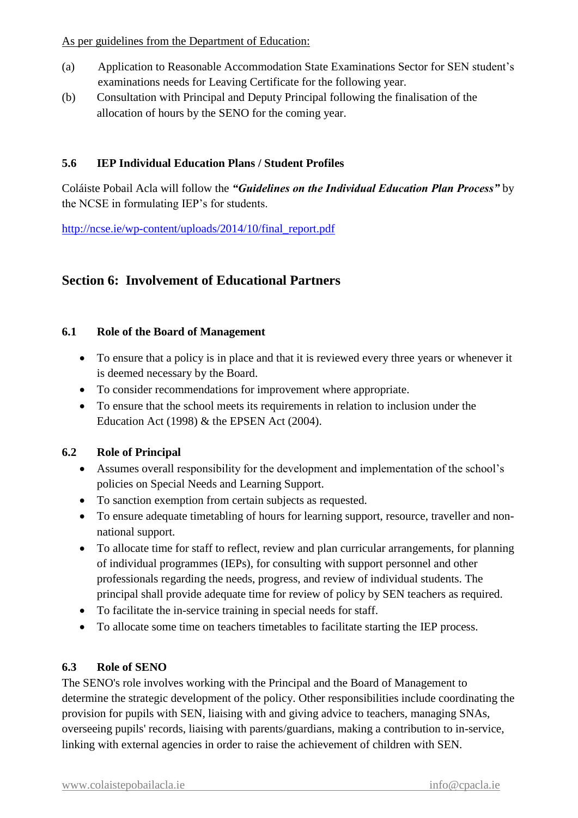- (a) Application to Reasonable Accommodation State Examinations Sector for SEN student's examinations needs for Leaving Certificate for the following year.
- (b) Consultation with Principal and Deputy Principal following the finalisation of the allocation of hours by the SENO for the coming year.

#### **5.6 IEP Individual Education Plans / Student Profiles**

Coláiste Pobail Acla will follow the *"Guidelines on the Individual Education Plan Process"* by the NCSE in formulating IEP's for students.

[http://ncse.ie/wp-content/uploads/2014/10/final\\_report.pdf](http://ncse.ie/wp-content/uploads/2014/10/final_report.pdf)

## **Section 6: Involvement of Educational Partners**

#### **6.1 Role of the Board of Management**

- To ensure that a policy is in place and that it is reviewed every three years or whenever it is deemed necessary by the Board.
- To consider recommendations for improvement where appropriate.
- To ensure that the school meets its requirements in relation to inclusion under the Education Act (1998) & the EPSEN Act (2004).

#### **6.2 Role of Principal**

- Assumes overall responsibility for the development and implementation of the school's policies on Special Needs and Learning Support.
- To sanction exemption from certain subjects as requested.
- To ensure adequate timetabling of hours for learning support, resource, traveller and nonnational support.
- To allocate time for staff to reflect, review and plan curricular arrangements, for planning of individual programmes (IEPs), for consulting with support personnel and other professionals regarding the needs, progress, and review of individual students. The principal shall provide adequate time for review of policy by SEN teachers as required.
- To facilitate the in-service training in special needs for staff.
- To allocate some time on teachers timetables to facilitate starting the IEP process.

#### **6.3 Role of SENO**

The SENO's role involves working with the Principal and the Board of Management to determine the strategic development of the policy. Other responsibilities include coordinating the provision for pupils with SEN, liaising with and giving advice to teachers, managing SNAs, overseeing pupils' records, liaising with parents/guardians, making a contribution to in-service, linking with external agencies in order to raise the achievement of children with SEN.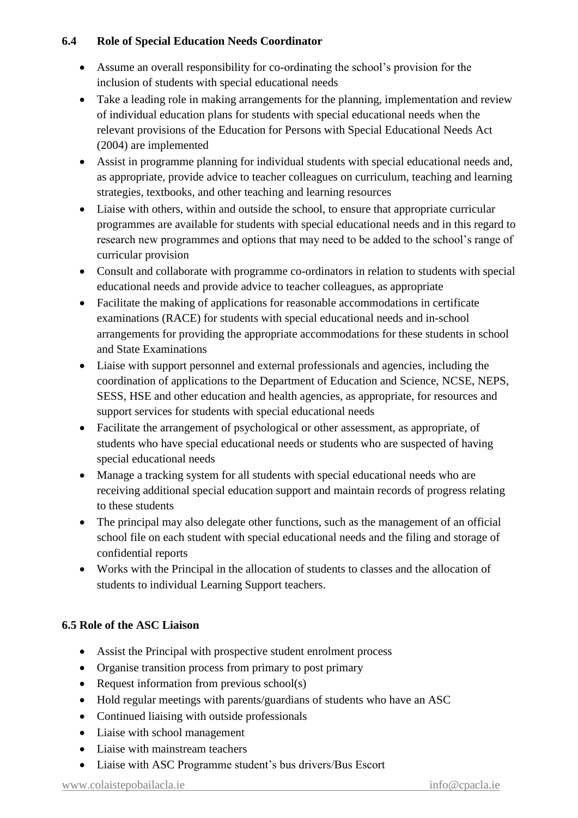#### **6.4 Role of Special Education Needs Coordinator**

- Assume an overall responsibility for co-ordinating the school's provision for the inclusion of students with special educational needs
- Take a leading role in making arrangements for the planning, implementation and review of individual education plans for students with special educational needs when the relevant provisions of the Education for Persons with Special Educational Needs Act (2004) are implemented
- Assist in programme planning for individual students with special educational needs and, as appropriate, provide advice to teacher colleagues on curriculum, teaching and learning strategies, textbooks, and other teaching and learning resources
- Liaise with others, within and outside the school, to ensure that appropriate curricular programmes are available for students with special educational needs and in this regard to research new programmes and options that may need to be added to the school's range of curricular provision
- Consult and collaborate with programme co-ordinators in relation to students with special educational needs and provide advice to teacher colleagues, as appropriate
- Facilitate the making of applications for reasonable accommodations in certificate examinations (RACE) for students with special educational needs and in-school arrangements for providing the appropriate accommodations for these students in school and State Examinations
- Liaise with support personnel and external professionals and agencies, including the coordination of applications to the Department of Education and Science, NCSE, NEPS, SESS, HSE and other education and health agencies, as appropriate, for resources and support services for students with special educational needs
- Facilitate the arrangement of psychological or other assessment, as appropriate, of students who have special educational needs or students who are suspected of having special educational needs
- Manage a tracking system for all students with special educational needs who are receiving additional special education support and maintain records of progress relating to these students
- The principal may also delegate other functions, such as the management of an official school file on each student with special educational needs and the filing and storage of confidential reports
- Works with the Principal in the allocation of students to classes and the allocation of students to individual Learning Support teachers.

## **6.5 Role of the ASC Liaison**

- Assist the Principal with prospective student enrolment process
- Organise transition process from primary to post primary
- Request information from previous school(s)
- Hold regular meetings with parents/guardians of students who have an ASC
- Continued liaising with outside professionals
- Liaise with school management
- Liaise with mainstream teachers
- Liaise with ASC Programme student's bus drivers/Bus Escort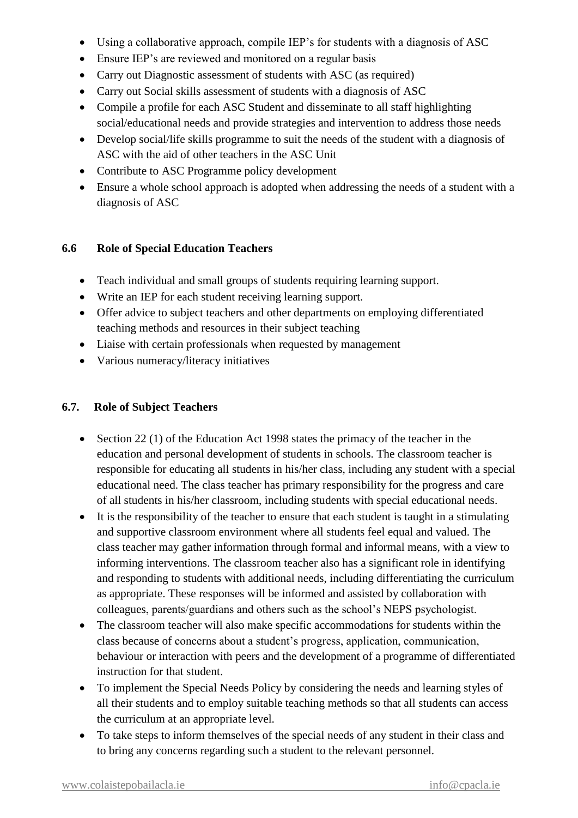- Using a collaborative approach, compile IEP's for students with a diagnosis of ASC
- Ensure IEP's are reviewed and monitored on a regular basis
- Carry out Diagnostic assessment of students with ASC (as required)
- Carry out Social skills assessment of students with a diagnosis of ASC
- Compile a profile for each ASC Student and disseminate to all staff highlighting social/educational needs and provide strategies and intervention to address those needs
- Develop social/life skills programme to suit the needs of the student with a diagnosis of ASC with the aid of other teachers in the ASC Unit
- Contribute to ASC Programme policy development
- Ensure a whole school approach is adopted when addressing the needs of a student with a diagnosis of ASC

#### **6.6 Role of Special Education Teachers**

- Teach individual and small groups of students requiring learning support.
- Write an IEP for each student receiving learning support.
- Offer advice to subject teachers and other departments on employing differentiated teaching methods and resources in their subject teaching
- Liaise with certain professionals when requested by management
- Various numeracy/literacy initiatives

#### **6.7. Role of Subject Teachers**

- Section 22 (1) of the Education Act 1998 states the primacy of the teacher in the education and personal development of students in schools. The classroom teacher is responsible for educating all students in his/her class, including any student with a special educational need. The class teacher has primary responsibility for the progress and care of all students in his/her classroom, including students with special educational needs.
- It is the responsibility of the teacher to ensure that each student is taught in a stimulating and supportive classroom environment where all students feel equal and valued. The class teacher may gather information through formal and informal means, with a view to informing interventions. The classroom teacher also has a significant role in identifying and responding to students with additional needs, including differentiating the curriculum as appropriate. These responses will be informed and assisted by collaboration with colleagues, parents/guardians and others such as the school's NEPS psychologist.
- The classroom teacher will also make specific accommodations for students within the class because of concerns about a student's progress, application, communication, behaviour or interaction with peers and the development of a programme of differentiated instruction for that student.
- To implement the Special Needs Policy by considering the needs and learning styles of all their students and to employ suitable teaching methods so that all students can access the curriculum at an appropriate level.
- To take steps to inform themselves of the special needs of any student in their class and to bring any concerns regarding such a student to the relevant personnel.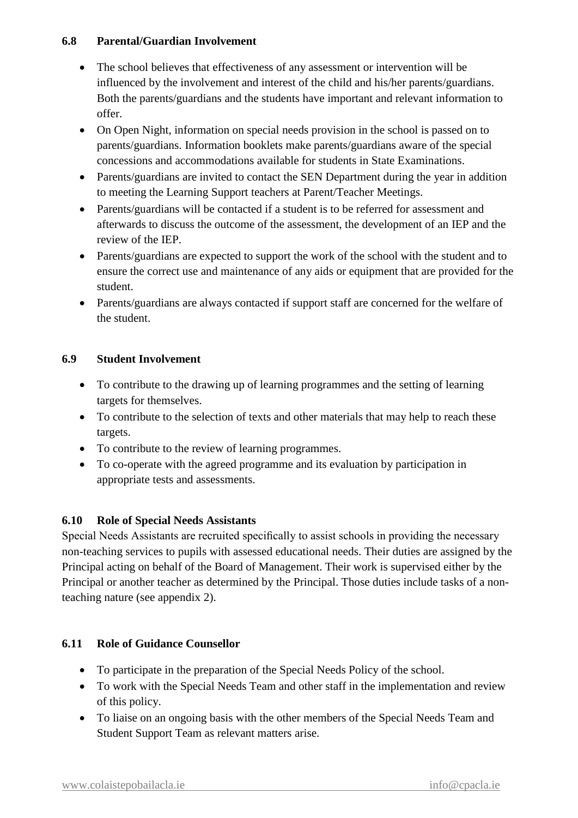#### **6.8 Parental/Guardian Involvement**

- The school believes that effectiveness of any assessment or intervention will be influenced by the involvement and interest of the child and his/her parents/guardians. Both the parents/guardians and the students have important and relevant information to offer.
- On Open Night, information on special needs provision in the school is passed on to parents/guardians. Information booklets make parents/guardians aware of the special concessions and accommodations available for students in State Examinations.
- Parents/guardians are invited to contact the SEN Department during the year in addition to meeting the Learning Support teachers at Parent/Teacher Meetings.
- Parents/guardians will be contacted if a student is to be referred for assessment and afterwards to discuss the outcome of the assessment, the development of an IEP and the review of the IEP.
- Parents/guardians are expected to support the work of the school with the student and to ensure the correct use and maintenance of any aids or equipment that are provided for the student.
- Parents/guardians are always contacted if support staff are concerned for the welfare of the student.

#### **6.9 Student Involvement**

- To contribute to the drawing up of learning programmes and the setting of learning targets for themselves.
- To contribute to the selection of texts and other materials that may help to reach these targets.
- To contribute to the review of learning programmes.
- To co-operate with the agreed programme and its evaluation by participation in appropriate tests and assessments.

## **6.10 Role of Special Needs Assistants**

Special Needs Assistants are recruited specifically to assist schools in providing the necessary non-teaching services to pupils with assessed educational needs. Their duties are assigned by the Principal acting on behalf of the Board of Management. Their work is supervised either by the Principal or another teacher as determined by the Principal. Those duties include tasks of a nonteaching nature (see appendix 2).

#### **6.11 Role of Guidance Counsellor**

- To participate in the preparation of the Special Needs Policy of the school.
- To work with the Special Needs Team and other staff in the implementation and review of this policy.
- To liaise on an ongoing basis with the other members of the Special Needs Team and Student Support Team as relevant matters arise.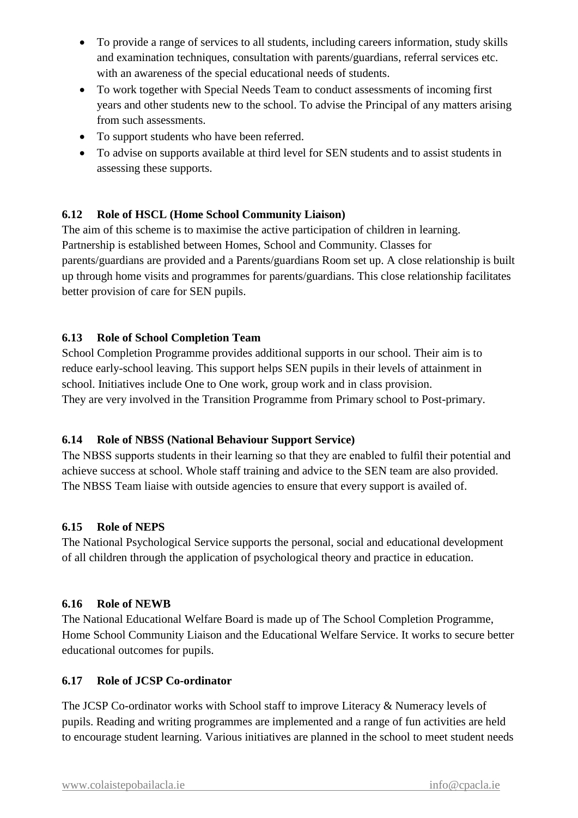- To provide a range of services to all students, including careers information, study skills and examination techniques, consultation with parents/guardians, referral services etc. with an awareness of the special educational needs of students.
- To work together with Special Needs Team to conduct assessments of incoming first years and other students new to the school. To advise the Principal of any matters arising from such assessments.
- To support students who have been referred.
- To advise on supports available at third level for SEN students and to assist students in assessing these supports.

## **6.12 Role of HSCL (Home School Community Liaison)**

The aim of this scheme is to maximise the active participation of children in learning. Partnership is established between Homes, School and Community. Classes for parents/guardians are provided and a Parents/guardians Room set up. A close relationship is built up through home visits and programmes for parents/guardians. This close relationship facilitates better provision of care for SEN pupils.

## **6.13 Role of School Completion Team**

School Completion Programme provides additional supports in our school. Their aim is to reduce early-school leaving. This support helps SEN pupils in their levels of attainment in school. Initiatives include One to One work, group work and in class provision. They are very involved in the Transition Programme from Primary school to Post-primary.

## **6.14 Role of NBSS (National Behaviour Support Service)**

The NBSS supports students in their learning so that they are enabled to fulfil their potential and achieve success at school. Whole staff training and advice to the SEN team are also provided. The NBSS Team liaise with outside agencies to ensure that every support is availed of.

## **6.15 Role of NEPS**

The National Psychological Service supports the personal, social and educational development of all children through the application of psychological theory and practice in education.

## **6.16 Role of NEWB**

The National Educational Welfare Board is made up of The School Completion Programme, Home School Community Liaison and the Educational Welfare Service. It works to secure better educational outcomes for pupils.

## **6.17 Role of JCSP Co-ordinator**

The JCSP Co-ordinator works with School staff to improve Literacy & Numeracy levels of pupils. Reading and writing programmes are implemented and a range of fun activities are held to encourage student learning. Various initiatives are planned in the school to meet student needs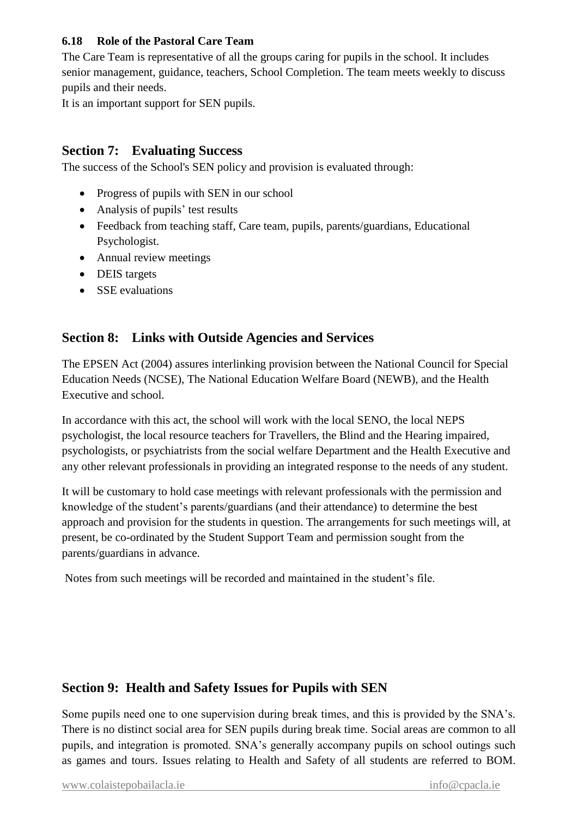#### **6.18 Role of the Pastoral Care Team**

The Care Team is representative of all the groups caring for pupils in the school. It includes senior management, guidance, teachers, School Completion. The team meets weekly to discuss pupils and their needs.

It is an important support for SEN pupils.

## **Section 7: Evaluating Success**

The success of the School's SEN policy and provision is evaluated through:

- Progress of pupils with SEN in our school
- Analysis of pupils' test results
- Feedback from teaching staff, Care team, pupils, parents/guardians, Educational Psychologist.
- Annual review meetings
- DEIS targets
- SSE evaluations

## **Section 8: Links with Outside Agencies and Services**

The EPSEN Act (2004) assures interlinking provision between the National Council for Special Education Needs (NCSE), The National Education Welfare Board (NEWB), and the Health Executive and school.

In accordance with this act, the school will work with the local SENO, the local NEPS psychologist, the local resource teachers for Travellers, the Blind and the Hearing impaired, psychologists, or psychiatrists from the social welfare Department and the Health Executive and any other relevant professionals in providing an integrated response to the needs of any student.

It will be customary to hold case meetings with relevant professionals with the permission and knowledge of the student's parents/guardians (and their attendance) to determine the best approach and provision for the students in question. The arrangements for such meetings will, at present, be co-ordinated by the Student Support Team and permission sought from the parents/guardians in advance.

Notes from such meetings will be recorded and maintained in the student's file.

## **Section 9: Health and Safety Issues for Pupils with SEN**

Some pupils need one to one supervision during break times, and this is provided by the SNA's. There is no distinct social area for SEN pupils during break time. Social areas are common to all pupils, and integration is promoted. SNA's generally accompany pupils on school outings such as games and tours. Issues relating to Health and Safety of all students are referred to BOM.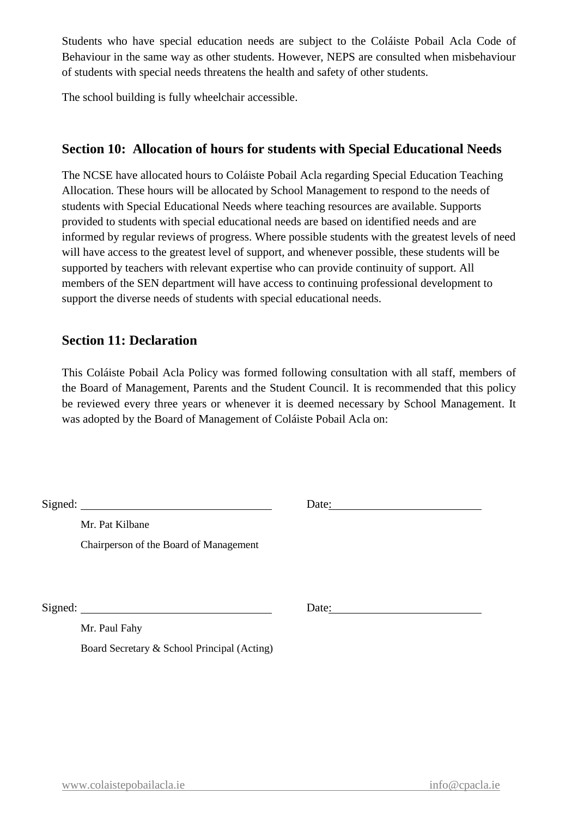Students who have special education needs are subject to the Coláiste Pobail Acla Code of Behaviour in the same way as other students. However, NEPS are consulted when misbehaviour of students with special needs threatens the health and safety of other students.

The school building is fully wheelchair accessible.

## **Section 10: Allocation of hours for students with Special Educational Needs**

The NCSE have allocated hours to Coláiste Pobail Acla regarding Special Education Teaching Allocation. These hours will be allocated by School Management to respond to the needs of students with Special Educational Needs where teaching resources are available. Supports provided to students with special educational needs are based on identified needs and are informed by regular reviews of progress. Where possible students with the greatest levels of need will have access to the greatest level of support, and whenever possible, these students will be supported by teachers with relevant expertise who can provide continuity of support. All members of the SEN department will have access to continuing professional development to support the diverse needs of students with special educational needs.

#### **Section 11: Declaration**

This Coláiste Pobail Acla Policy was formed following consultation with all staff, members of the Board of Management, Parents and the Student Council. It is recommended that this policy be reviewed every three years or whenever it is deemed necessary by School Management. It was adopted by the Board of Management of Coláiste Pobail Acla on:

| Signed: | <u> 1989 - Jan Stern Harry Harry Harry Harry Harry Harry Harry Harry Harry Harry Harry Harry Harry Harry Harry Har</u> | Date: |  |
|---------|------------------------------------------------------------------------------------------------------------------------|-------|--|
|         | Mr. Pat Kilbane                                                                                                        |       |  |
|         | Chairperson of the Board of Management                                                                                 |       |  |
|         |                                                                                                                        |       |  |
|         |                                                                                                                        |       |  |
|         | Signed:                                                                                                                | Date: |  |
|         | Mr. Paul Fahy                                                                                                          |       |  |
|         | Board Secretary & School Principal (Acting)                                                                            |       |  |
|         |                                                                                                                        |       |  |
|         |                                                                                                                        |       |  |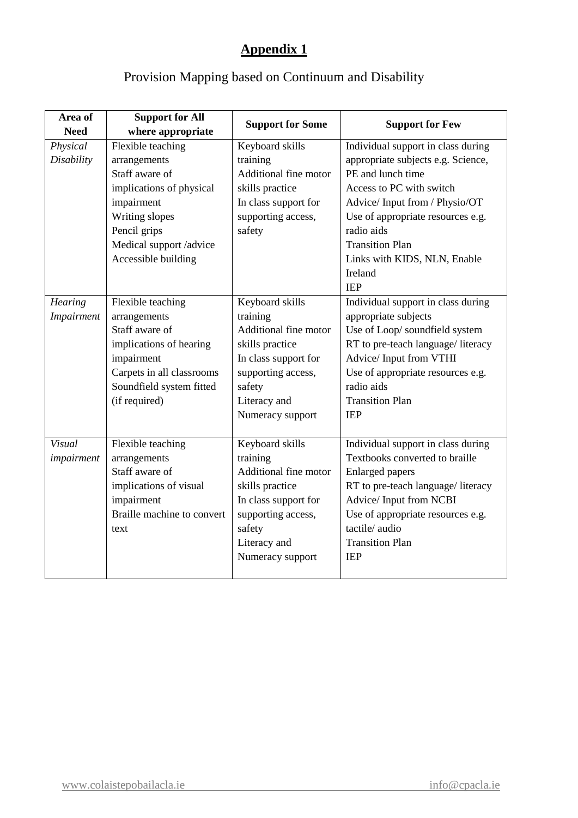## **Appendix 1**

## Provision Mapping based on Continuum and Disability

| Area of       | <b>Support for All</b>     | <b>Support for Some</b> | <b>Support for Few</b>             |  |
|---------------|----------------------------|-------------------------|------------------------------------|--|
| <b>Need</b>   | where appropriate          |                         |                                    |  |
| Physical      | Flexible teaching          | Keyboard skills         | Individual support in class during |  |
| Disability    | arrangements               | training                | appropriate subjects e.g. Science, |  |
|               | Staff aware of             | Additional fine motor   | PE and lunch time                  |  |
|               | implications of physical   | skills practice         | Access to PC with switch           |  |
|               | impairment                 | In class support for    | Advice/Input from / Physio/OT      |  |
|               | Writing slopes             | supporting access,      | Use of appropriate resources e.g.  |  |
|               | Pencil grips               | safety                  | radio aids                         |  |
|               | Medical support /advice    |                         | <b>Transition Plan</b>             |  |
|               | Accessible building        |                         | Links with KIDS, NLN, Enable       |  |
|               |                            |                         | Ireland                            |  |
|               |                            |                         | <b>IEP</b>                         |  |
| Hearing       | Flexible teaching          | Keyboard skills         | Individual support in class during |  |
| Impairment    | arrangements               | training                | appropriate subjects               |  |
|               | Staff aware of             | Additional fine motor   | Use of Loop/ soundfield system     |  |
|               | implications of hearing    | skills practice         | RT to pre-teach language/literacy  |  |
|               | impairment                 | In class support for    | Advice/ Input from VTHI            |  |
|               | Carpets in all classrooms  | supporting access,      | Use of appropriate resources e.g.  |  |
|               | Soundfield system fitted   | safety                  | radio aids                         |  |
|               | (if required)              | Literacy and            | <b>Transition Plan</b>             |  |
|               |                            | Numeracy support        | <b>IEP</b>                         |  |
|               |                            |                         |                                    |  |
| <b>Visual</b> | Flexible teaching          | Keyboard skills         | Individual support in class during |  |
| impairment    | arrangements               | training                | Textbooks converted to braille     |  |
|               | Staff aware of             | Additional fine motor   | <b>Enlarged</b> papers             |  |
|               | implications of visual     | skills practice         | RT to pre-teach language/literacy  |  |
|               | impairment                 | In class support for    | Advice/Input from NCBI             |  |
|               | Braille machine to convert | supporting access,      | Use of appropriate resources e.g.  |  |
|               | text                       | safety                  | tactile/audio                      |  |
|               |                            | Literacy and            | <b>Transition Plan</b>             |  |
|               |                            | Numeracy support        | <b>IEP</b>                         |  |
|               |                            |                         |                                    |  |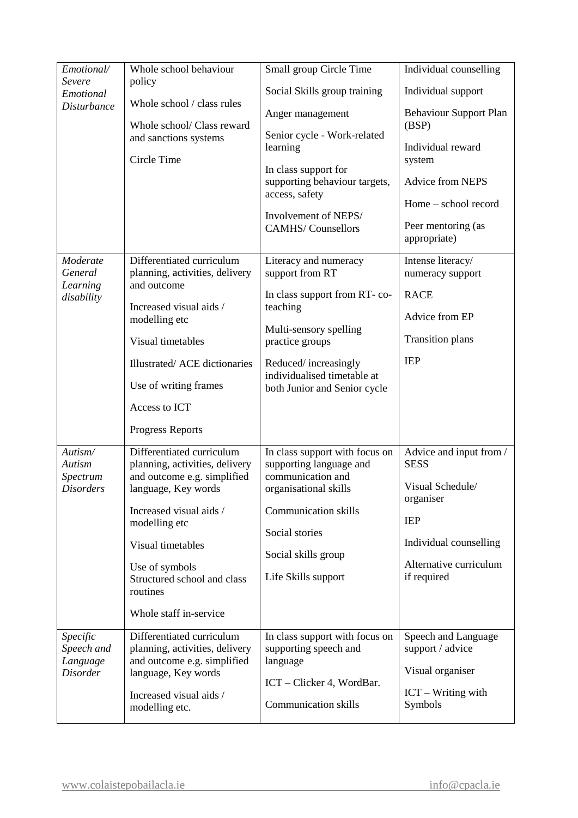| Emotional/                | Whole school behaviour                                        | Small group Circle Time                             | Individual counselling             |
|---------------------------|---------------------------------------------------------------|-----------------------------------------------------|------------------------------------|
| Severe                    | policy                                                        |                                                     |                                    |
| Emotional                 | Whole school / class rules                                    | Social Skills group training                        | Individual support                 |
| <b>Disturbance</b>        |                                                               | Anger management                                    | <b>Behaviour Support Plan</b>      |
|                           | Whole school/ Class reward<br>and sanctions systems           | Senior cycle - Work-related                         | (BSP)                              |
|                           |                                                               | learning                                            | Individual reward                  |
|                           | Circle Time                                                   | In class support for                                | system                             |
|                           |                                                               | supporting behaviour targets,                       | Advice from NEPS                   |
|                           |                                                               | access, safety                                      | Home – school record               |
|                           |                                                               | Involvement of NEPS/                                |                                    |
|                           |                                                               | <b>CAMHS/Counsellors</b>                            | Peer mentoring (as<br>appropriate) |
|                           |                                                               |                                                     |                                    |
| Moderate                  | Differentiated curriculum                                     | Literacy and numeracy                               | Intense literacy/                  |
| General<br>Learning       | planning, activities, delivery<br>and outcome                 | support from RT                                     | numeracy support                   |
| disability                | Increased visual aids /                                       | In class support from RT-co-                        | <b>RACE</b>                        |
|                           | modelling etc                                                 | teaching                                            | Advice from EP                     |
|                           | Visual timetables                                             | Multi-sensory spelling<br>practice groups           | <b>Transition plans</b>            |
|                           | Illustrated/ACE dictionaries                                  | Reduced/increasingly<br>individualised timetable at | <b>IEP</b>                         |
|                           | Use of writing frames                                         | both Junior and Senior cycle                        |                                    |
|                           | Access to ICT                                                 |                                                     |                                    |
|                           | Progress Reports                                              |                                                     |                                    |
| Autism/                   | Differentiated curriculum                                     | In class support with focus on                      | Advice and input from /            |
| <b>Autism</b><br>Spectrum | planning, activities, delivery<br>and outcome e.g. simplified | supporting language and<br>communication and        | <b>SESS</b>                        |
| <b>Disorders</b>          | language, Key words                                           | organisational skills                               | Visual Schedule/                   |
|                           |                                                               |                                                     | organiser                          |
|                           | Increased visual aids /<br>modelling etc                      | <b>Communication skills</b>                         | <b>IEP</b>                         |
|                           |                                                               | Social stories                                      |                                    |
|                           | Visual timetables                                             | Social skills group                                 | Individual counselling             |
|                           | Use of symbols                                                |                                                     | Alternative curriculum             |
|                           | Structured school and class<br>routines                       | Life Skills support                                 | if required                        |
|                           | Whole staff in-service                                        |                                                     |                                    |
| Specific                  | Differentiated curriculum                                     | In class support with focus on                      | Speech and Language                |
| Speech and                | planning, activities, delivery                                | supporting speech and                               | support / advice                   |
| Language                  | and outcome e.g. simplified                                   | language                                            | Visual organiser                   |
| <b>Disorder</b>           | language, Key words                                           | ICT – Clicker 4, WordBar.                           |                                    |
|                           | Increased visual aids /                                       |                                                     | ICT – Writing with                 |
|                           | modelling etc.                                                | <b>Communication skills</b>                         | Symbols                            |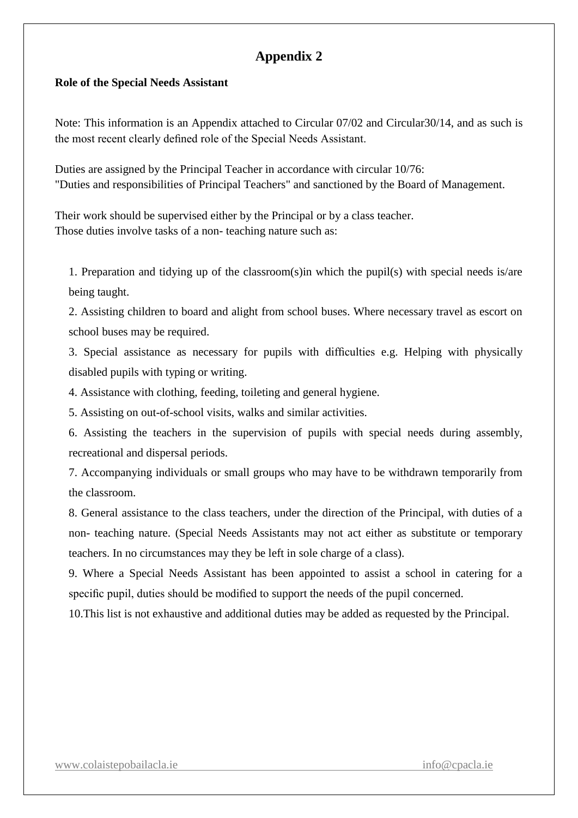## **Appendix 2**

#### **Role of the Special Needs Assistant**

Note: This information is an Appendix attached to Circular 07/02 and Circular30/14, and as such is the most recent clearly defined role of the Special Needs Assistant.

Duties are assigned by the Principal Teacher in accordance with circular 10/76: "Duties and responsibilities of Principal Teachers" and sanctioned by the Board of Management.

Their work should be supervised either by the Principal or by a class teacher. Those duties involve tasks of a non- teaching nature such as:

1. Preparation and tidying up of the classroom(s)in which the pupil(s) with special needs is/are being taught.

2. Assisting children to board and alight from school buses. Where necessary travel as escort on school buses may be required.

3. Special assistance as necessary for pupils with difficulties e.g. Helping with physically disabled pupils with typing or writing.

4. Assistance with clothing, feeding, toileting and general hygiene.

5. Assisting on out-of-school visits, walks and similar activities.

6. Assisting the teachers in the supervision of pupils with special needs during assembly, recreational and dispersal periods.

7. Accompanying individuals or small groups who may have to be withdrawn temporarily from the classroom.

8. General assistance to the class teachers, under the direction of the Principal, with duties of a non- teaching nature. (Special Needs Assistants may not act either as substitute or temporary teachers. In no circumstances may they be left in sole charge of a class).

9. Where a Special Needs Assistant has been appointed to assist a school in catering for a specific pupil, duties should be modified to support the needs of the pupil concerned.

10.This list is not exhaustive and additional duties may be added as requested by the Principal.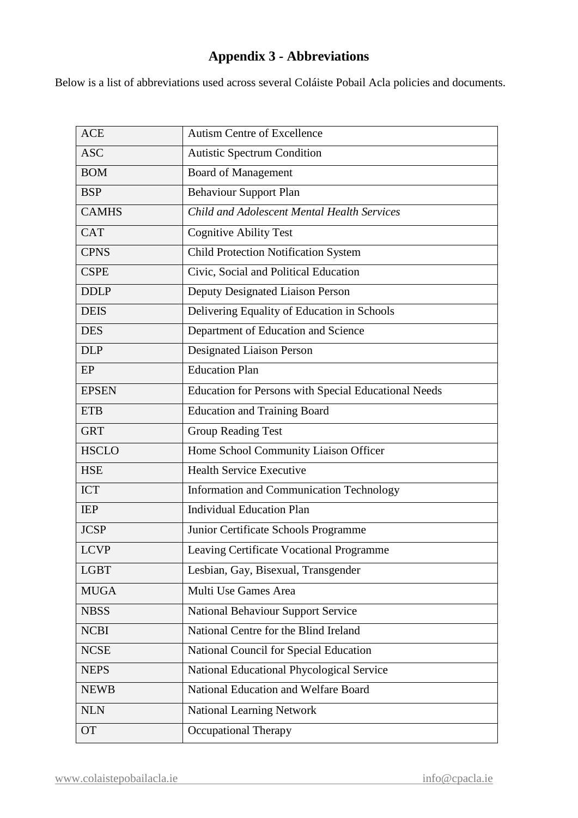## **Appendix 3 - Abbreviations**

Below is a list of abbreviations used across several Coláiste Pobail Acla policies and documents.

| <b>ACE</b>   | <b>Autism Centre of Excellence</b>                          |
|--------------|-------------------------------------------------------------|
| <b>ASC</b>   | <b>Autistic Spectrum Condition</b>                          |
| <b>BOM</b>   | <b>Board of Management</b>                                  |
| <b>BSP</b>   | <b>Behaviour Support Plan</b>                               |
| <b>CAMHS</b> | Child and Adolescent Mental Health Services                 |
| <b>CAT</b>   | <b>Cognitive Ability Test</b>                               |
| <b>CPNS</b>  | <b>Child Protection Notification System</b>                 |
| <b>CSPE</b>  | Civic, Social and Political Education                       |
| <b>DDLP</b>  | Deputy Designated Liaison Person                            |
| <b>DEIS</b>  | Delivering Equality of Education in Schools                 |
| <b>DES</b>   | Department of Education and Science                         |
| <b>DLP</b>   | Designated Liaison Person                                   |
| EP           | <b>Education Plan</b>                                       |
| <b>EPSEN</b> | <b>Education for Persons with Special Educational Needs</b> |
| <b>ETB</b>   | <b>Education and Training Board</b>                         |
| <b>GRT</b>   | <b>Group Reading Test</b>                                   |
| <b>HSCLO</b> | Home School Community Liaison Officer                       |
| <b>HSE</b>   | <b>Health Service Executive</b>                             |
| <b>ICT</b>   | Information and Communication Technology                    |
| <b>IEP</b>   | <b>Individual Education Plan</b>                            |
| <b>JCSP</b>  | Junior Certificate Schools Programme                        |
| <b>LCVP</b>  | Leaving Certificate Vocational Programme                    |
| <b>LGBT</b>  | Lesbian, Gay, Bisexual, Transgender                         |
| <b>MUGA</b>  | Multi Use Games Area                                        |
| <b>NBSS</b>  | <b>National Behaviour Support Service</b>                   |
| <b>NCBI</b>  | National Centre for the Blind Ireland                       |
| <b>NCSE</b>  | National Council for Special Education                      |
| <b>NEPS</b>  | National Educational Phycological Service                   |
| <b>NEWB</b>  | National Education and Welfare Board                        |
| <b>NLN</b>   | <b>National Learning Network</b>                            |
| <b>OT</b>    | <b>Occupational Therapy</b>                                 |